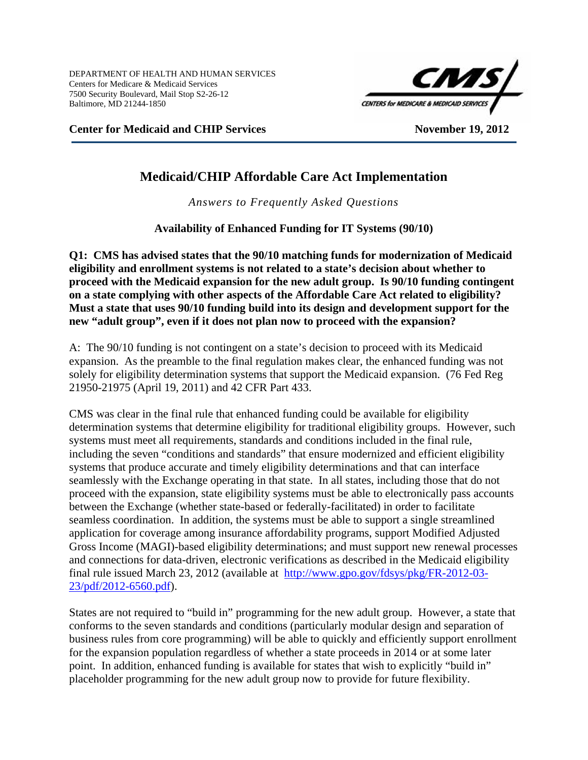

**Center for Medicaid and CHIP Services** November 19, 2012

# **Medicaid/CHIP Affordable Care Act Implementation**

*Answers to Frequently Asked Questions* 

**Availability of Enhanced Funding for IT Systems (90/10)** 

**Q1: CMS has advised states that the 90/10 matching funds for modernization of Medicaid eligibility and enrollment systems is not related to a state's decision about whether to proceed with the Medicaid expansion for the new adult group. Is 90/10 funding contingent on a state complying with other aspects of the Affordable Care Act related to eligibility? Must a state that uses 90/10 funding build into its design and development support for the new "adult group", even if it does not plan now to proceed with the expansion?** 

A:The 90/10 funding is not contingent on a state's decision to proceed with its Medicaid expansion. As the preamble to the final regulation makes clear, the enhanced funding was not solely for eligibility determination systems that support the Medicaid expansion. (76 Fed Reg 21950-21975 (April 19, 2011) and 42 CFR Part 433.

CMS was clear in the final rule that enhanced funding could be available for eligibility determination systems that determine eligibility for traditional eligibility groups. However, such systems must meet all requirements, standards and conditions included in the final rule, including the seven "conditions and standards" that ensure modernized and efficient eligibility systems that produce accurate and timely eligibility determinations and that can interface seamlessly with the Exchange operating in that state. In all states, including those that do not proceed with the expansion, state eligibility systems must be able to electronically pass accounts between the Exchange (whether state-based or federally-facilitated) in order to facilitate seamless coordination. In addition, the systems must be able to support a single streamlined application for coverage among insurance affordability programs, support Modified Adjusted Gross Income (MAGI)-based eligibility determinations; and must support new renewal processes and connections for data-driven, electronic verifications as described in the Medicaid eligibility final rule issued March 23, 2012 (available at http://www.gpo.gov/fdsys/pkg/FR-2012-03- 23/pdf/2012-6560.pdf).

States are not required to "build in" programming for the new adult group. However, a state that conforms to the seven standards and conditions (particularly modular design and separation of business rules from core programming) will be able to quickly and efficiently support enrollment for the expansion population regardless of whether a state proceeds in 2014 or at some later point. In addition, enhanced funding is available for states that wish to explicitly "build in" placeholder programming for the new adult group now to provide for future flexibility.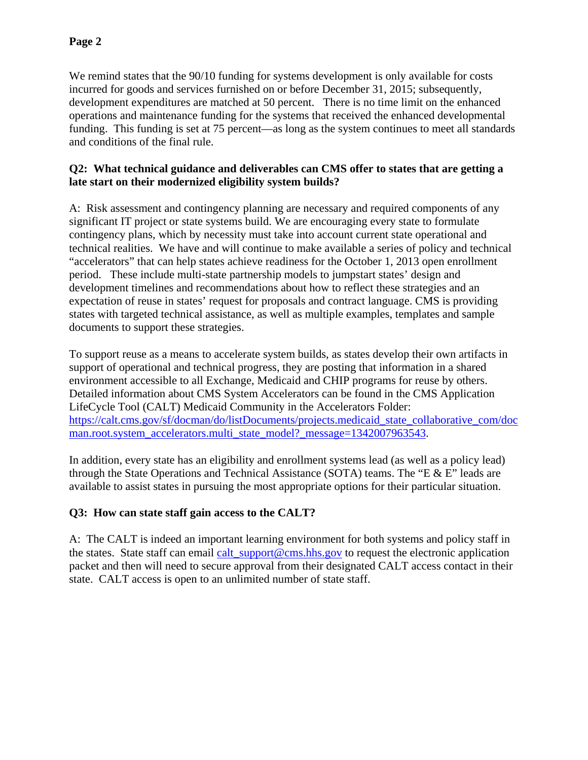We remind states that the 90/10 funding for systems development is only available for costs incurred for goods and services furnished on or before December 31, 2015; subsequently, development expenditures are matched at 50 percent. There is no time limit on the enhanced operations and maintenance funding for the systems that received the enhanced developmental funding. This funding is set at 75 percent—as long as the system continues to meet all standards and conditions of the final rule.

## **Q2: What technical guidance and deliverables can CMS offer to states that are getting a late start on their modernized eligibility system builds?**

A:Risk assessment and contingency planning are necessary and required components of any significant IT project or state systems build. We are encouraging every state to formulate contingency plans, which by necessity must take into account current state operational and technical realities. We have and will continue to make available a series of policy and technical "accelerators" that can help states achieve readiness for the October 1, 2013 open enrollment period. These include multi-state partnership models to jumpstart states' design and development timelines and recommendations about how to reflect these strategies and an expectation of reuse in states' request for proposals and contract language. CMS is providing states with targeted technical assistance, as well as multiple examples, templates and sample documents to support these strategies.

To support reuse as a means to accelerate system builds, as states develop their own artifacts in support of operational and technical progress, they are posting that information in a shared environment accessible to all Exchange, Medicaid and CHIP programs for reuse by others. Detailed information about CMS System Accelerators can be found in the CMS Application LifeCycle Tool (CALT) Medicaid Community in the Accelerators Folder: https://calt.cms.gov/sf/docman/do/listDocuments/projects.medicaid\_state\_collaborative\_com/doc man.root.system\_accelerators.multi\_state\_model?\_message=1342007963543.

In addition, every state has an eligibility and enrollment systems lead (as well as a policy lead) through the State Operations and Technical Assistance (SOTA) teams. The "E & E" leads are available to assist states in pursuing the most appropriate options for their particular situation.

# **Q3: How can state staff gain access to the CALT?**

A: The CALT is indeed an important learning environment for both systems and policy staff in the states. State staff can email calt\_support@cms.hhs.gov to request the electronic application packet and then will need to secure approval from their designated CALT access contact in their state. CALT access is open to an unlimited number of state staff.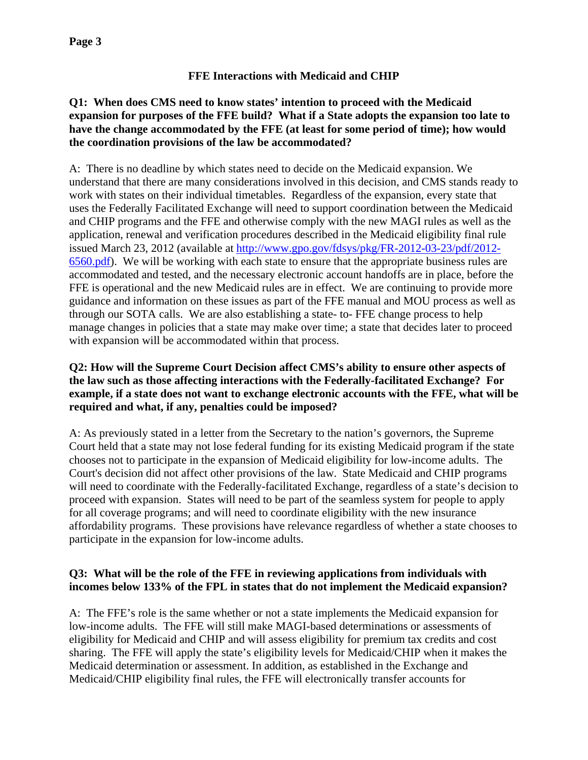# **FFE Interactions with Medicaid and CHIP**

### **Q1: When does CMS need to know states' intention to proceed with the Medicaid expansion for purposes of the FFE build? What if a State adopts the expansion too late to have the change accommodated by the FFE (at least for some period of time); how would the coordination provisions of the law be accommodated?**

A:There is no deadline by which states need to decide on the Medicaid expansion. We understand that there are many considerations involved in this decision, and CMS stands ready to work with states on their individual timetables. Regardless of the expansion, every state that uses the Federally Facilitated Exchange will need to support coordination between the Medicaid and CHIP programs and the FFE and otherwise comply with the new MAGI rules as well as the application, renewal and verification procedures described in the Medicaid eligibility final rule issued March 23, 2012 (available at http://www.gpo.gov/fdsys/pkg/FR-2012-03-23/pdf/2012- 6560.pdf). We will be working with each state to ensure that the appropriate business rules are accommodated and tested, and the necessary electronic account handoffs are in place, before the FFE is operational and the new Medicaid rules are in effect. We are continuing to provide more guidance and information on these issues as part of the FFE manual and MOU process as well as through our SOTA calls. We are also establishing a state- to- FFE change process to help manage changes in policies that a state may make over time; a state that decides later to proceed with expansion will be accommodated within that process.

### **Q2: How will the Supreme Court Decision affect CMS's ability to ensure other aspects of the law such as those affecting interactions with the Federally-facilitated Exchange? For example, if a state does not want to exchange electronic accounts with the FFE, what will be required and what, if any, penalties could be imposed?**

A: As previously stated in a letter from the Secretary to the nation's governors, the Supreme Court held that a state may not lose federal funding for its existing Medicaid program if the state chooses not to participate in the expansion of Medicaid eligibility for low-income adults. The Court's decision did not affect other provisions of the law. State Medicaid and CHIP programs will need to coordinate with the Federally-facilitated Exchange, regardless of a state's decision to proceed with expansion. States will need to be part of the seamless system for people to apply for all coverage programs; and will need to coordinate eligibility with the new insurance affordability programs. These provisions have relevance regardless of whether a state chooses to participate in the expansion for low-income adults.

# **Q3: What will be the role of the FFE in reviewing applications from individuals with incomes below 133% of the FPL in states that do not implement the Medicaid expansion?**

A:The FFE's role is the same whether or not a state implements the Medicaid expansion for low-income adults. The FFE will still make MAGI-based determinations or assessments of eligibility for Medicaid and CHIP and will assess eligibility for premium tax credits and cost sharing. The FFE will apply the state's eligibility levels for Medicaid/CHIP when it makes the Medicaid determination or assessment. In addition, as established in the Exchange and Medicaid/CHIP eligibility final rules, the FFE will electronically transfer accounts for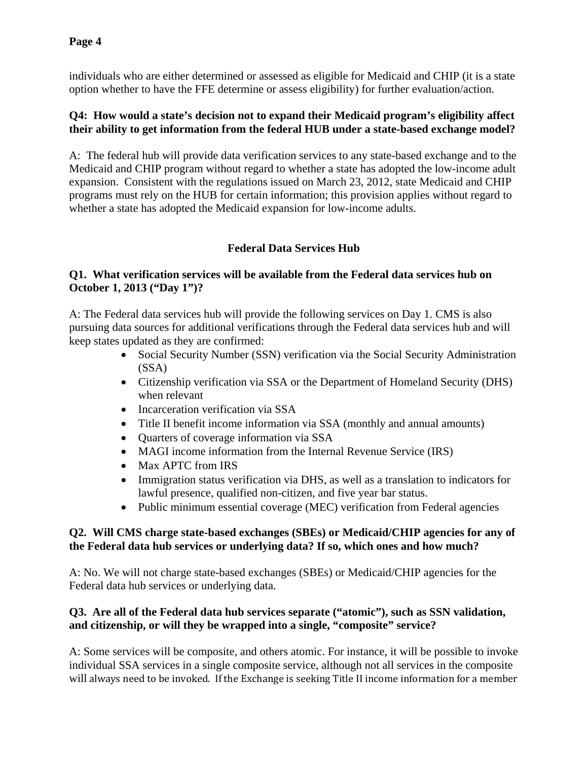individuals who are either determined or assessed as eligible for Medicaid and CHIP (it is a state option whether to have the FFE determine or assess eligibility) for further evaluation/action.

#### **Q4: How would a state's decision not to expand their Medicaid program's eligibility affect their ability to get information from the federal HUB under a state-based exchange model?**

A:The federal hub will provide data verification services to any state-based exchange and to the Medicaid and CHIP program without regard to whether a state has adopted the low-income adult expansion. Consistent with the regulations issued on March 23, 2012, state Medicaid and CHIP programs must rely on the HUB for certain information; this provision applies without regard to whether a state has adopted the Medicaid expansion for low-income adults.

# **Federal Data Services Hub**

## **Q1. What verification services will be available from the Federal data services hub on October 1, 2013 ("Day 1")?**

A: The Federal data services hub will provide the following services on Day 1. CMS is also pursuing data sources for additional verifications through the Federal data services hub and will keep states updated as they are confirmed:

- Social Security Number (SSN) verification via the Social Security Administration (SSA)
- Citizenship verification via SSA or the Department of Homeland Security (DHS) when relevant
- Incarceration verification via SSA
- Title II benefit income information via SSA (monthly and annual amounts)
- Quarters of coverage information via SSA
- MAGI income information from the Internal Revenue Service (IRS)
- Max APTC from IRS
- Immigration status verification via DHS, as well as a translation to indicators for lawful presence, qualified non-citizen, and five year bar status.
- Public minimum essential coverage (MEC) verification from Federal agencies

#### **Q2. Will CMS charge state-based exchanges (SBEs) or Medicaid/CHIP agencies for any of the Federal data hub services or underlying data? If so, which ones and how much?**

A: No. We will not charge state-based exchanges (SBEs) or Medicaid/CHIP agencies for the Federal data hub services or underlying data.

## **Q3. Are all of the Federal data hub services separate ("atomic"), such as SSN validation, and citizenship, or will they be wrapped into a single, "composite" service?**

A: Som e services will be com posite, and others at omic. For instance, it will be possible to invoke will always need to be invoked. If the Exchange is seeking Title II income information for a member individual SSA services in a single composite service, although not all services in the composite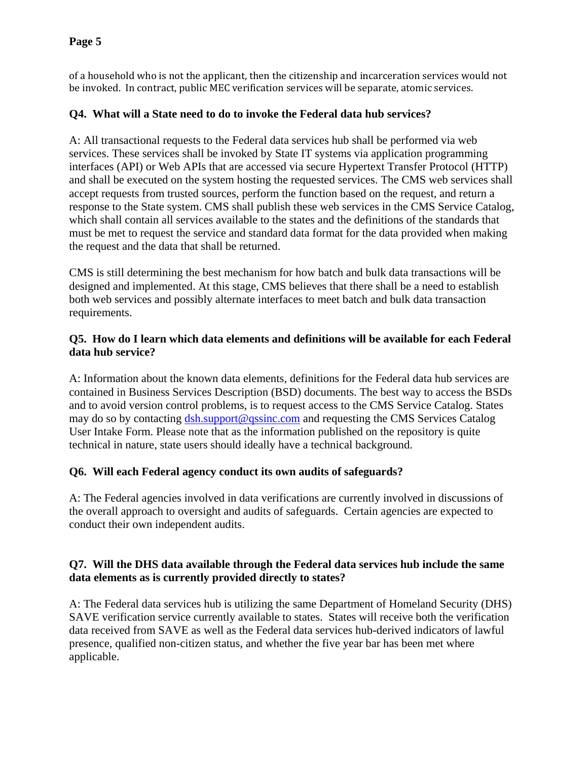of a household who is not the applicant, then the citizenship and incarceration services would not be invoked. In contract, public MEC verification services will be separate, atomic services.

# **Q4. What w ill a State need to do to invoke the Federal d a ta hub services?**

A: All transactional requests to the Federal data services hub shall be performed via web services. These services shall be invoked by State IT systems via application programming interfaces (API) or Web APIs that are accessed via secure Hypertext Transfer Protocol (HTTP) and shall be executed on the system hosting the requested services. The CMS web services shall response to the State system. CMS shall publish these web services in the CMS Service Catalog, which shall contain all services available to the states and the definitions of the standards that must be met to request the service and standard data format for the data provided when making accept requests from trusted sources, perform the function based on the request, and return a the request and the data that shall be returned.

CMS is still determining the best mechanism for how batch and bulk data transactions will be designed and implemented. At this stage, CMS believes that there shall be a need to establish both web services and possibly alternate interfaces to meet batch and bulk data transaction requirements.

## **Q5. How do I learn which data elements and definitions will be available for each Federal data hub service?**

A: Information about the known data elements, definitions for the Federal data hub services are contained in Business Services Description (BSD) documents. The best way to access the BSDs and to avoid version control problems, is to request access to the CMS Service Catalog. States may do so by contacting dsh.support@qssinc.com and requesting the CMS Services Catalog User Intake Form. Please note that as the information published on the repository is quite technical in nature, state users should ideally have a technical background.

## **Q6. Will each Federal agency conduct its own audits of safeguards?**

A: The Federal agencies involved in data verifications are currently involved in discussions of the overall approach to oversight and audits of safeguards. Certain agencies are expected to conduct their own independent audits.

## **Q7. Will the DHS data available through the Federal data services hub include the same data elements as is currently provided directly to states?**

A: The Federal data services hub is utilizing the same Department of Homeland Security (DHS) SAVE verification service currently available to states. States will receive both the verification data received from SAVE as well as the Federal data services hub-derived indicators of lawful presence, qualified non-citizen status, and whether the five year bar has been met where applicable.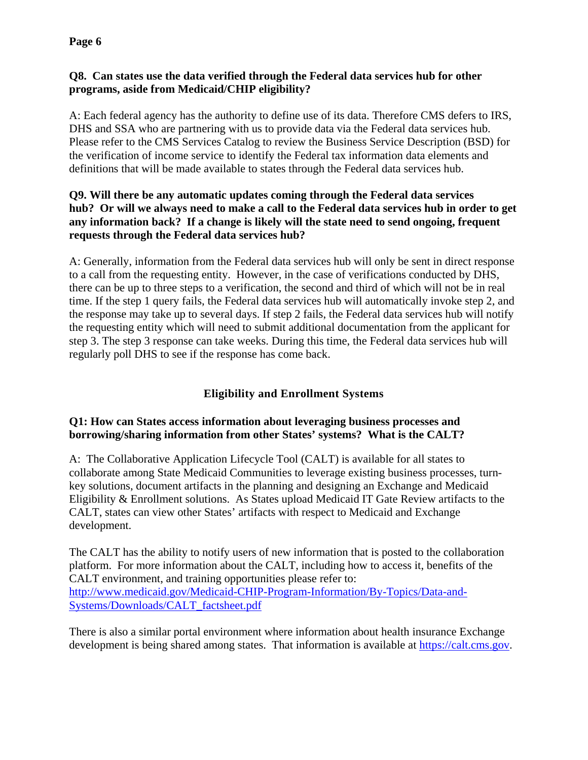## **Q8. Can states use the data verified through the Federal data services hub for other programs, aside from Medicaid/CHIP eligibility?**

A: Each federal agency has the authority to define use of its data. Therefore CMS defers to IRS, DHS and SSA who are partnering with us to provide data via the Federal data services hub. Please refer to the CMS Services Catalog to review the Business Service Description (BSD) for the verification of income service to identify the Federal tax information data elements and definitions that will be made available to states through the Federal data services hub.

### **Q9. Will there be any automatic updates coming through the Federal data services hub? Or will we always need to make a call to the Federal data services hub in order to get any information back? If a change is likely will the state need to send ongoing, frequent requests through the Federal data services hub?**

A: Generally, information from the Federal data services hub will only be sent in direct response to a call from the requesting entity. However, in the case of verifications conducted by DHS, there can be up to three steps to a verification, the second and third of which will not be in real time. If the step 1 query fails, the Federal data services hub will automatically invoke step 2, and the response may take up to several days. If step 2 fails, the Federal data services hub will notify the requesting entity which will need to submit additional documentation from the applicant for step 3. The step 3 response can take weeks. During this time, the Federal data services hub will regularly poll DHS to see if the response has come back.

# **Eligibility and Enrollment Systems**

#### **Q1: How can States access information about leveraging business processes and borrowing/sharing information from other States' systems? What is the CALT?**

A: The Collaborative Application Lifecycle Tool (CALT) is available for all states to collaborate among State Medicaid Communities to leverage existing business processes, turnkey solutions, document artifacts in the planning and designing an Exchange and Medicaid Eligibility & Enrollment solutions. As States upload Medicaid IT Gate Review artifacts to the CALT, states can view other States' artifacts with respect to Medicaid and Exchange development.

The CALT has the ability to notify users of new information that is posted to the collaboration platform. For more information about the CALT, including how to access it, benefits of the CALT environment, and training opportunities please refer to: http://www.medicaid.gov/Medicaid-CHIP-Program-Information/By-Topics/Data-and-Systems/Downloads/CALT\_factsheet.pdf

There is also a similar portal environment where information about health insurance Exchange development is being shared among states. That information is available at https://calt.cms.gov.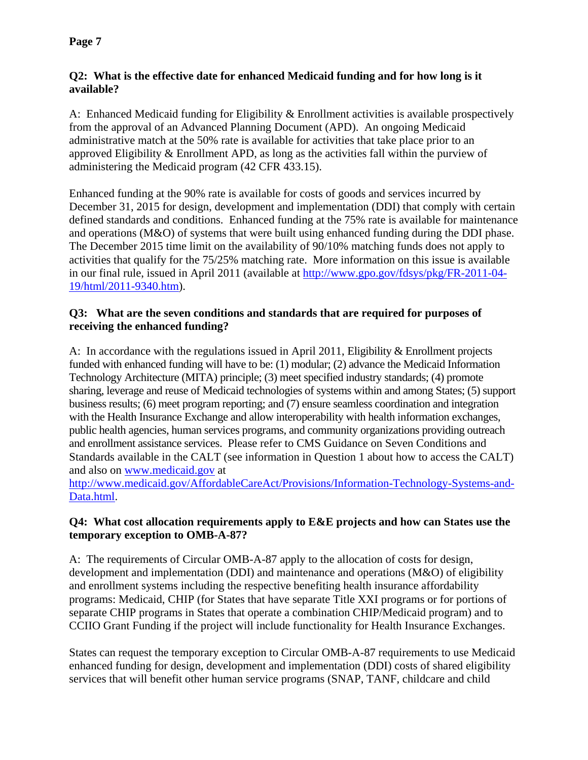#### **Q2: What is the effective date for enhanced Medicaid funding and for how long is it available?**

A: Enhanced Medicaid funding for Eligibility & Enrollment activities is available prospectively from the approval of an Advanced Planning Document (APD). An ongoing Medicaid administrative match at the 50% rate is available for activities that take place prior to an approved Eligibility & Enrollment APD, as long as the activities fall within the purview of administering the Medicaid program (42 CFR 433.15).

Enhanced funding at the 90% rate is available for costs of goods and services incurred by December 31, 2015 for design, development and implementation (DDI) that comply with certain defined standards and conditions. Enhanced funding at the 75% rate is available for maintenance and operations (M&O) of systems that were built using enhanced funding during the DDI phase. The December 2015 time limit on the availability of 90/10% matching funds does not apply to activities that qualify for the 75/25% matching rate. More information on this issue is available in our final rule, issued in April 2011 (available at http://www.gpo.gov/fdsys/pkg/FR-2011-04- 19/html/2011-9340.htm).

### **Q3: What are the seven conditions and standards that are required for purposes of receiving the enhanced funding?**

A: In accordance with the regulations issued in April 2011, Eligibility & Enrollment projects funded with enhanced funding will have to be: (1) modular; (2) advance the Medicaid Information Technology Architecture (MITA) principle; (3) meet specified industry standards; (4) promote sharing, leverage and reuse of Medicaid technologies of systems within and among States; (5) support business results; (6) meet program reporting; and (7) ensure seamless coordination and integration with the Health Insurance Exchange and allow interoperability with health information exchanges, public health agencies, human services programs, and community organizations providing outreach and enrollment assistance services. Please refer to CMS Guidance on Seven Conditions and Standards available in the CALT (see information in Question 1 about how to access the CALT) and also on www.medicaid.gov at

http://www.medicaid.gov/AffordableCareAct/Provisions/Information-Technology-Systems-and-Data.html.

#### **Q4: What cost allocation requirements apply to E&E projects and how can States use the temporary exception to OMB-A-87?**

A: The requirements of Circular OMB-A-87 apply to the allocation of costs for design, development and implementation (DDI) and maintenance and operations (M&O) of eligibility and enrollment systems including the respective benefiting health insurance affordability programs: Medicaid, CHIP (for States that have separate Title XXI programs or for portions of separate CHIP programs in States that operate a combination CHIP/Medicaid program) and to CCIIO Grant Funding if the project will include functionality for Health Insurance Exchanges.

States can request the temporary exception to Circular OMB-A-87 requirements to use Medicaid enhanced funding for design, development and implementation (DDI) costs of shared eligibility services that will benefit other human service programs (SNAP, TANF, childcare and child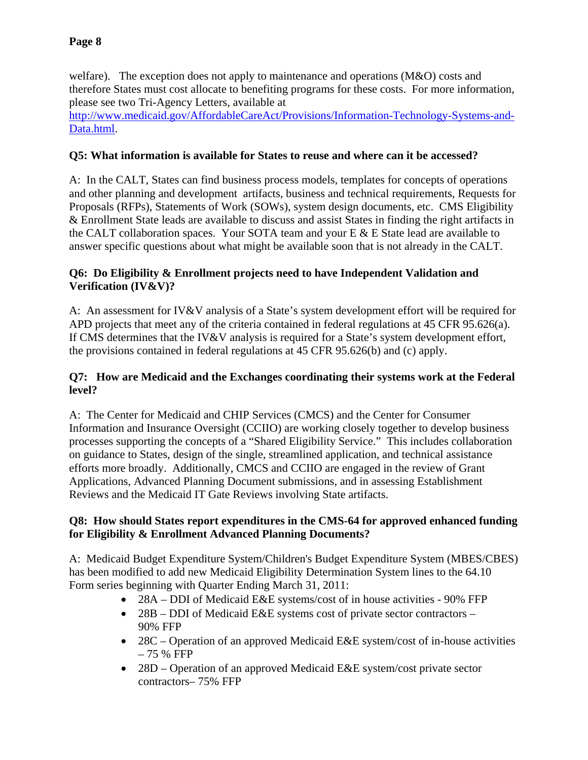welfare). The exception does not apply to maintenance and operations (M&O) costs and therefore States must cost allocate to benefiting programs for these costs. For more information, please see two Tri-Agency Letters, available at

http://www.medicaid.gov/AffordableCareAct/Provisions/Information-Technology-Systems-and-Data.html.

# **Q5: What information is available for States to reuse and where can it be accessed?**

A: In the CALT, States can find business process models, templates for concepts of operations and other planning and development artifacts, business and technical requirements, Requests for Proposals (RFPs), Statements of Work (SOWs), system design documents, etc. CMS Eligibility & Enrollment State leads are available to discuss and assist States in finding the right artifacts in the CALT collaboration spaces. Your SOTA team and your  $E \& E$  State lead are available to answer specific questions about what might be available soon that is not already in the CALT.

# **Q6: Do Eligibility & Enrollment projects need to have Independent Validation and Verification (IV&V)?**

A: An assessment for IV&V analysis of a State's system development effort will be required for APD projects that meet any of the criteria contained in federal regulations at 45 CFR 95.626(a). If CMS determines that the IV&V analysis is required for a State's system development effort, the provisions contained in federal regulations at 45 CFR 95.626(b) and (c) apply.

## **Q7: How are Medicaid and the Exchanges coordinating their systems work at the Federal level?**

A: The Center for Medicaid and CHIP Services (CMCS) and the Center for Consumer Information and Insurance Oversight (CCIIO) are working closely together to develop business processes supporting the concepts of a "Shared Eligibility Service." This includes collaboration on guidance to States, design of the single, streamlined application, and technical assistance efforts more broadly. Additionally, CMCS and CCIIO are engaged in the review of Grant Applications, Advanced Planning Document submissions, and in assessing Establishment Reviews and the Medicaid IT Gate Reviews involving State artifacts.

## **Q8: How should States report expenditures in the CMS-64 for approved enhanced funding for Eligibility & Enrollment Advanced Planning Documents?**

A: Medicaid Budget Expenditure System/Children's Budget Expenditure System (MBES/CBES) has been modified to add new Medicaid Eligibility Determination System lines to the 64.10 Form series beginning with Quarter Ending March 31, 2011:

- 28A DDI of Medicaid E&E systems/cost of in house activities 90% FFP
- 28B DDI of Medicaid E&E systems cost of private sector contractors 90% FFP
- 28C Operation of an approved Medicaid E&E system/cost of in-house activities – 75 % FFP
- 28D Operation of an approved Medicaid E&E system/cost private sector contractors– 75% FFP